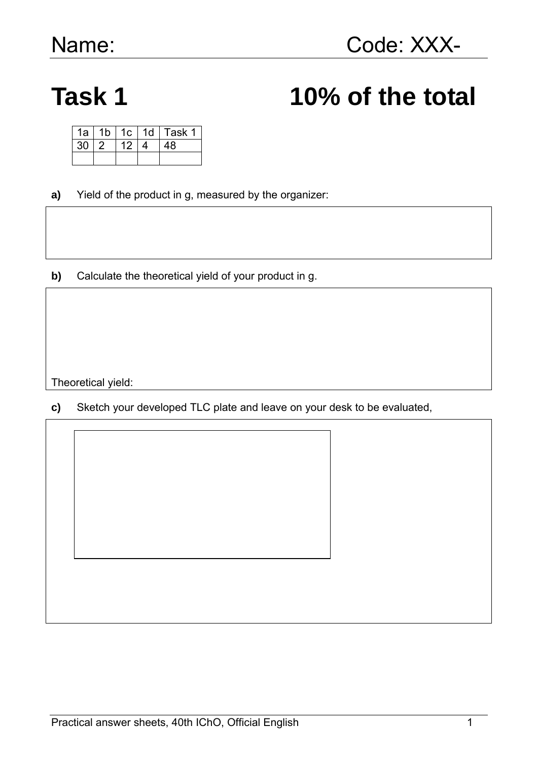# Task 1 10% of the total

| 1a | 1b | 1c | 1 <sub>d</sub> | Task 1 |
|----|----|----|----------------|--------|
| 30 |    | 12 |                | 48     |
|    |    |    |                |        |

- **a)** Yield of the product in g, measured by the organizer:
- **b)** Calculate the theoretical yield of your product in g.

Theoretical yield:

**c)** Sketch your developed TLC plate and leave on your desk to be evaluated,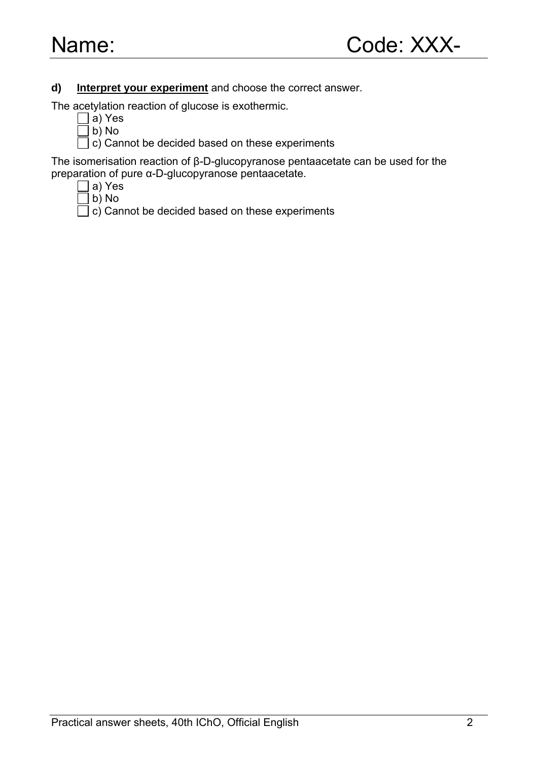### **d) Interpret your experiment** and choose the correct answer.

The acetylation reaction of glucose is exothermic.

- a) Yes
- $\Box$  b) No
- $\Box$  c) Cannot be decided based on these experiments

The isomerisation reaction of β-D-glucopyranose pentaacetate can be used for the preparation of pure α-D-glucopyranose pentaacetate.

- a) Yes
- $]$  b) No
- $\exists$  c) Cannot be decided based on these experiments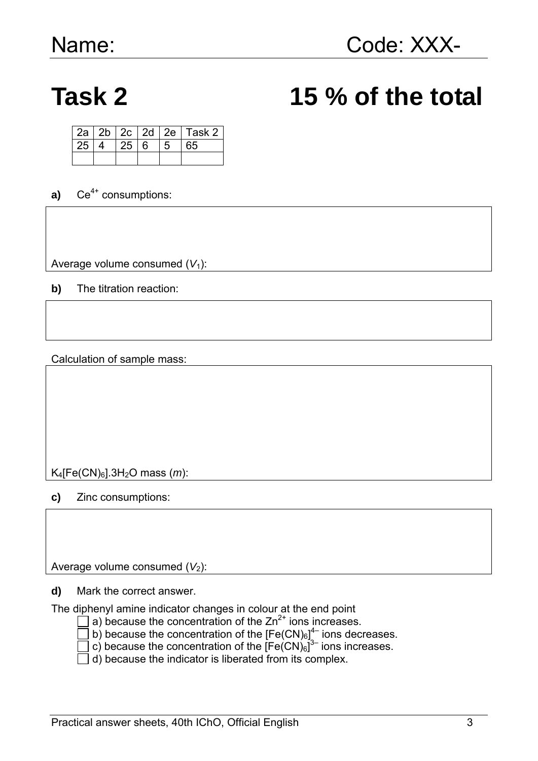## **Task 2 15 % of the total**

|                 |             |   | $2a   2b   2c   2d   2e  $ Task 2 |
|-----------------|-------------|---|-----------------------------------|
| 25 <sup>1</sup> | $25 \mid 6$ | 5 | 65                                |
|                 |             |   |                                   |

**a)**  $Ce^{4+}$  consumptions:

Average volume consumed  $(V_1)$ :

**b)** The titration reaction:

Calculation of sample mass:

K4[Fe(CN)6].3H2O mass (*m*):

**c)** Zinc consumptions:

Average volume consumed  $(V_2)$ :

**d)** Mark the correct answer.

The diphenyl amine indicator changes in colour at the end point

- $\Box$  a) because the concentration of the  $\angle$ n<sup>2+</sup> ions increases.
	- b) because the concentration of the  $[Fe(CN)<sub>6</sub>]<sup>4–</sup>$  ions decreases.
	- c) because the concentration of the  $[Fe(CN)_6]^{3-}$  ions increases.
- $\Box$  d) because the indicator is liberated from its complex.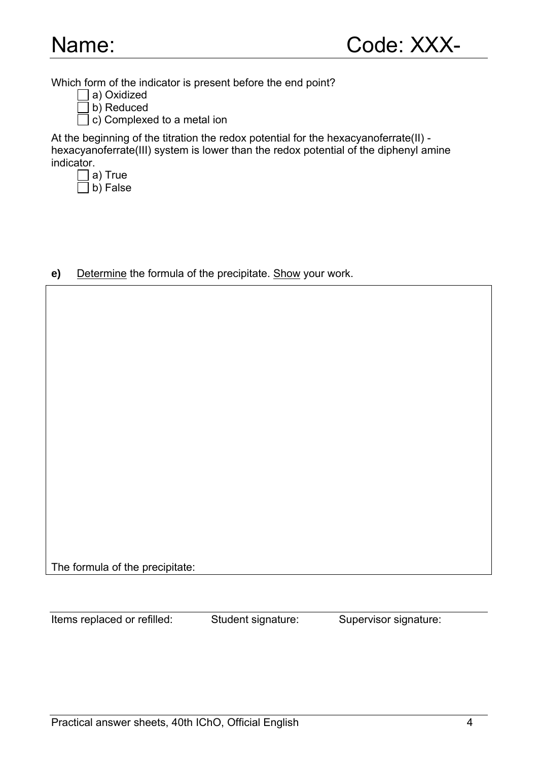Which form of the indicator is present before the end point?

- a) Oxidized
- b) Reduced

c) Complexed to a metal ion

At the beginning of the titration the redox potential for the hexacyanoferrate(II) hexacyanoferrate(III) system is lower than the redox potential of the diphenyl amine indicator.

 $\Box$  a) True

 $\Box$  b) False

**e)** Determine the formula of the precipitate. Show your work.

The formula of the precipitate:

Items replaced or refilled: Student signature: Supervisor signature: